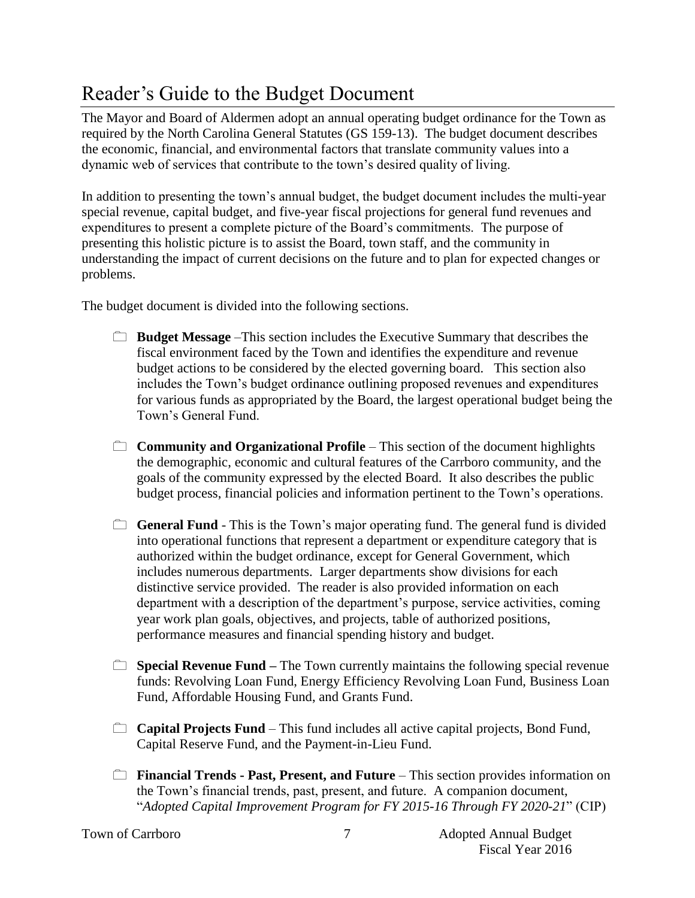## Reader's Guide to the Budget Document

The Mayor and Board of Aldermen adopt an annual operating budget ordinance for the Town as required by the North Carolina General Statutes (GS 159-13). The budget document describes the economic, financial, and environmental factors that translate community values into a dynamic web of services that contribute to the town's desired quality of living.

In addition to presenting the town's annual budget, the budget document includes the multi-year special revenue, capital budget, and five-year fiscal projections for general fund revenues and expenditures to present a complete picture of the Board's commitments. The purpose of presenting this holistic picture is to assist the Board, town staff, and the community in understanding the impact of current decisions on the future and to plan for expected changes or problems.

The budget document is divided into the following sections.

- **Budget Message** –This section includes the Executive Summary that describes the fiscal environment faced by the Town and identifies the expenditure and revenue budget actions to be considered by the elected governing board. This section also includes the Town's budget ordinance outlining proposed revenues and expenditures for various funds as appropriated by the Board, the largest operational budget being the Town's General Fund.
- **Community and Organizational Profile** This section of the document highlights the demographic, economic and cultural features of the Carrboro community, and the goals of the community expressed by the elected Board. It also describes the public budget process, financial policies and information pertinent to the Town's operations.
- **General Fund** This is the Town's major operating fund. The general fund is divided into operational functions that represent a department or expenditure category that is authorized within the budget ordinance, except for General Government, which includes numerous departments. Larger departments show divisions for each distinctive service provided. The reader is also provided information on each department with a description of the department's purpose, service activities, coming year work plan goals, objectives, and projects, table of authorized positions, performance measures and financial spending history and budget.
- **Special Revenue Fund** The Town currently maintains the following special revenue funds: Revolving Loan Fund, Energy Efficiency Revolving Loan Fund, Business Loan Fund, Affordable Housing Fund, and Grants Fund.
- **Capital Projects Fund** This fund includes all active capital projects, Bond Fund, Capital Reserve Fund, and the Payment-in-Lieu Fund.
- **Financial Trends Past, Present, and Future** This section provides information on the Town's financial trends, past, present, and future. A companion document, "*Adopted Capital Improvement Program for FY 2015-16 Through FY 2020-21*" (CIP)